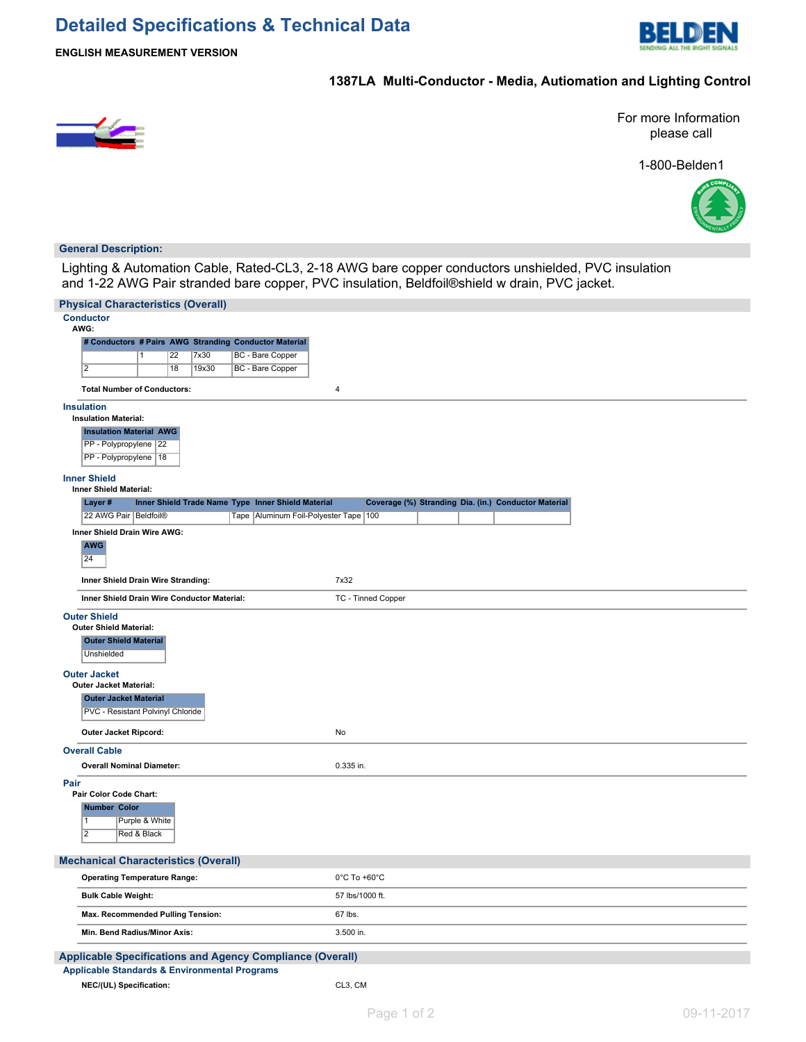# **Detailed Specifications & Technical Data**



**ENGLISH MEASUREMENT VERSION**

## **1387LA Multi-Conductor - Media, Autiomation and Lighting Control**



For more Information please call

1-800-Belden1



### **General Description:**

Lighting & Automation Cable, Rated-CL3, 2-18 AWG bare copper conductors unshielded, PVC insulation and 1-22 AWG Pair stranded bare copper, PVC insulation, Beldfoil®shield w drain, PVC jacket.

| <b>Physical Characteristics (Overall)</b>                            |                                   |                                                      |  |  |  |
|----------------------------------------------------------------------|-----------------------------------|------------------------------------------------------|--|--|--|
| <b>Conductor</b><br>AWG:                                             |                                   |                                                      |  |  |  |
| # Conductors # Pairs AWG Stranding Conductor Material                |                                   |                                                      |  |  |  |
| BC - Bare Copper<br>22<br>7x30<br>1                                  |                                   |                                                      |  |  |  |
| <b>BC</b> - Bare Copper<br>$\overline{2}$<br>18<br>19x30             |                                   |                                                      |  |  |  |
| <b>Total Number of Conductors:</b>                                   | 4                                 |                                                      |  |  |  |
| <b>Insulation</b>                                                    |                                   |                                                      |  |  |  |
| <b>Insulation Material:</b>                                          |                                   |                                                      |  |  |  |
| <b>Insulation Material AWG</b>                                       |                                   |                                                      |  |  |  |
| PP - Polypropylene   22<br>PP - Polypropylene   18                   |                                   |                                                      |  |  |  |
|                                                                      |                                   |                                                      |  |  |  |
| <b>Inner Shield</b><br><b>Inner Shield Material:</b>                 |                                   |                                                      |  |  |  |
| Inner Shield Trade Name Type Inner Shield Material<br>Layer#         |                                   | Coverage (%) Stranding Dia. (in.) Conductor Material |  |  |  |
| 22 AWG Pair   Beldfoil®<br>Tape   Aluminum Foil-Polyester Tape   100 |                                   |                                                      |  |  |  |
| Inner Shield Drain Wire AWG:                                         |                                   |                                                      |  |  |  |
| <b>AWG</b><br>24                                                     |                                   |                                                      |  |  |  |
| Inner Shield Drain Wire Stranding:                                   | 7x32                              |                                                      |  |  |  |
| Inner Shield Drain Wire Conductor Material:                          | TC - Tinned Copper                |                                                      |  |  |  |
| <b>Outer Shield</b>                                                  |                                   |                                                      |  |  |  |
| <b>Outer Shield Material:</b>                                        |                                   |                                                      |  |  |  |
| <b>Outer Shield Material</b>                                         |                                   |                                                      |  |  |  |
| Unshielded                                                           |                                   |                                                      |  |  |  |
| <b>Outer Jacket</b>                                                  |                                   |                                                      |  |  |  |
| <b>Outer Jacket Material:</b>                                        |                                   |                                                      |  |  |  |
| <b>Outer Jacket Material</b>                                         |                                   |                                                      |  |  |  |
| PVC - Resistant Polvinyl Chloride                                    |                                   |                                                      |  |  |  |
| Outer Jacket Ripcord:                                                | No                                |                                                      |  |  |  |
| <b>Overall Cable</b>                                                 |                                   |                                                      |  |  |  |
| <b>Overall Nominal Diameter:</b>                                     | 0.335 in.                         |                                                      |  |  |  |
| Pair<br>Pair Color Code Chart:                                       |                                   |                                                      |  |  |  |
| <b>Number Color</b>                                                  |                                   |                                                      |  |  |  |
| Purple & White<br>1                                                  |                                   |                                                      |  |  |  |
| $\overline{2}$<br>Red & Black                                        |                                   |                                                      |  |  |  |
| <b>Mechanical Characteristics (Overall)</b>                          |                                   |                                                      |  |  |  |
| <b>Operating Temperature Range:</b>                                  | $0^{\circ}$ C To +60 $^{\circ}$ C |                                                      |  |  |  |
| <b>Bulk Cable Weight:</b>                                            | 57 lbs/1000 ft.                   |                                                      |  |  |  |
| Max. Recommended Pulling Tension:                                    | 67 lbs.                           |                                                      |  |  |  |
| Min. Bend Radius/Minor Axis:                                         | 3.500 in.                         |                                                      |  |  |  |
| <b>Applicable Specifications and Agency Compliance (Overall)</b>     |                                   |                                                      |  |  |  |
| Applicable Standards & Environmental Programs                        |                                   |                                                      |  |  |  |
| NEC/(UL) Specification:                                              | CL3, CM                           |                                                      |  |  |  |